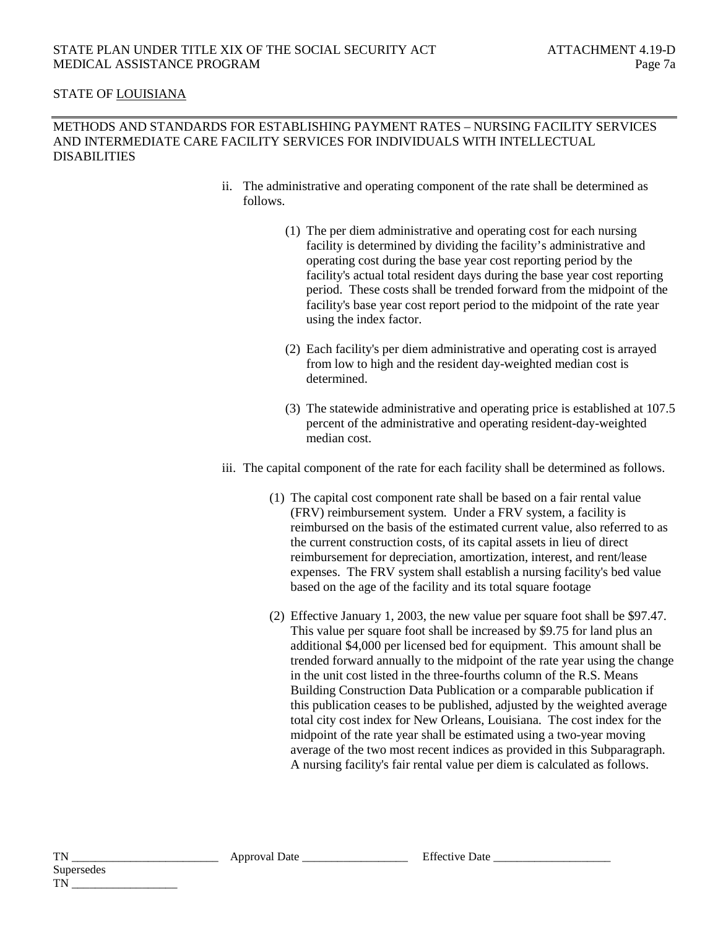## STATE OF LOUISIANA

## METHODS AND STANDARDS FOR ESTABLISHING PAYMENT RATES – NURSING FACILITY SERVICES AND INTERMEDIATE CARE FACILITY SERVICES FOR INDIVIDUALS WITH INTELLECTUAL DISABILITIES

- ii. The administrative and operating component of the rate shall be determined as follows.
	- (1) The per diem administrative and operating cost for each nursing facility is determined by dividing the facility's administrative and operating cost during the base year cost reporting period by the facility's actual total resident days during the base year cost reporting period. These costs shall be trended forward from the midpoint of the facility's base year cost report period to the midpoint of the rate year using the index factor.
	- (2) Each facility's per diem administrative and operating cost is arrayed from low to high and the resident day-weighted median cost is determined.
	- (3) The statewide administrative and operating price is established at 107.5 percent of the administrative and operating resident-day-weighted median cost.
- iii. The capital component of the rate for each facility shall be determined as follows.
	- (1) The capital cost component rate shall be based on a fair rental value (FRV) reimbursement system. Under a FRV system, a facility is reimbursed on the basis of the estimated current value, also referred to as the current construction costs, of its capital assets in lieu of direct reimbursement for depreciation, amortization, interest, and rent/lease expenses. The FRV system shall establish a nursing facility's bed value based on the age of the facility and its total square footage
	- (2) Effective January 1, 2003, the new value per square foot shall be \$97.47. This value per square foot shall be increased by \$9.75 for land plus an additional \$4,000 per licensed bed for equipment. This amount shall be trended forward annually to the midpoint of the rate year using the change in the unit cost listed in the three-fourths column of the R.S. Means Building Construction Data Publication or a comparable publication if this publication ceases to be published, adjusted by the weighted average total city cost index for New Orleans, Louisiana. The cost index for the midpoint of the rate year shall be estimated using a two-year moving average of the two most recent indices as provided in this Subparagraph. A nursing facility's fair rental value per diem is calculated as follows.